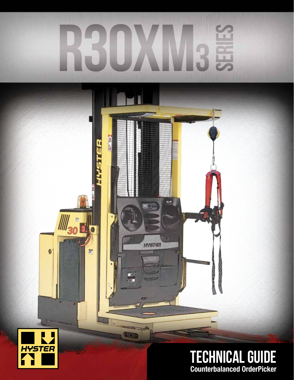# SEP R

信用局

u ilik

 $\frac{1}{2}$ 

**ERIC** 

HYSTER

HYSTER

医皮肤

r

99

<sup>IIII</sup>30

 $\bullet$ 





00000000 **0000**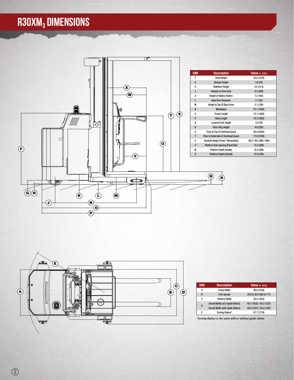## R30XM<sub>3</sub> DIMENSIONS





| <b>DIM</b> | <b>Description</b>                        | Value in. (mm)            |
|------------|-------------------------------------------|---------------------------|
| A          | <b>Frame Width</b>                        | 40.0 (1016)               |
| B          | <b>Fork Spread</b>                        | 20.9 to 28.0 (530 to 711) |
| c          | <b>Platform Width</b>                     | 40.2 (1022)               |
| D          | Overall Width (w/o Guide Rollers)         | 40.7 (1035) / 48.3 (1227) |
|            | <b>Overall Width (with Guide Rollers)</b> | 48.3 (1227) / 55.0 (1397) |
| F          | Turning Radius*                           | 67.7 (1719)               |
|            |                                           |                           |

*\*Turning Radius is the same with or without guide rollers*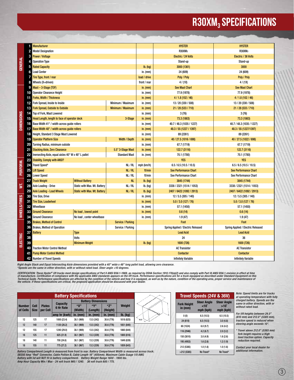## R30XM<sub>3</sub> SPECIFICATIONS

| GENERAL             |                 | <b>Manufacturer</b>                                          |                                     |                      |                                    | <b>HYSTER</b>                      | <b>HYSTER</b>                |
|---------------------|-----------------|--------------------------------------------------------------|-------------------------------------|----------------------|------------------------------------|------------------------------------|------------------------------|
|                     | 2               | <b>Model Designation</b>                                     |                                     |                      |                                    | R30XM <sub>3</sub>                 | R30XM <sub>3</sub>           |
|                     | 3               | <b>Power / Voltage</b>                                       |                                     |                      |                                    | Electric / 24 Volts                | Electric / 36 Volts          |
|                     | 4               | <b>Operation Type</b>                                        |                                     |                      |                                    | Stand-up                           | Stand-up                     |
|                     | 5               | <b>Rated Capacity</b>                                        |                                     |                      | $Ib.$ (kg)                         | 3000 (1361)                        | 3000                         |
|                     | 6               | <b>Load Center</b>                                           |                                     |                      | in. $(mm)$                         | 24 (609)                           | 24 (609)                     |
|                     |                 | Tire Type, front / rear                                      |                                     |                      | load / drive                       | Poly / Poly                        | Poly / Poly                  |
|                     | 8               | Wheels (X=driven)                                            |                                     |                      |                                    | 4/(1X)                             | 4 / (1X)                     |
|                     | 9               | Mast - 3-Stage (TOF)                                         |                                     |                      |                                    | <b>See Mast Chart</b>              | <b>See Mast Chart</b>        |
|                     | 10              | <b>Operator Clearance Height</b>                             |                                     |                      |                                    | 77.9 (1978)                        | 77.9 (1978)                  |
|                     | 11              | <b>Forks, Width / Thickness</b>                              |                                     |                      | $in.$ (mm)                         | 4/1.8(102/46)                      | 4/1.8(102/46)                |
|                     |                 | 12 Fork Spread, Inside to Inside                             |                                     | Minimum / Maximum    | in. $(mm)$                         | 13 / 20 (330 / 508)                | 13 / 20 (330 / 508)          |
|                     | 13              | <b>Fork Spread, Outside to Outside</b><br>Minimum / Maximum  |                                     |                      | $in.$ (mm)                         | 21 / 28 (533 / 710)                | 21 / 28 (533 / 710)          |
|                     | 14              | Top of Fork, Mast Lowered                                    |                                     |                      | in. $(mm)$                         | 3(76)                              | 3(76)                        |
| <b>DIMENSIONS</b>   | 15              | Head Length, length to face of operator deck                 | 3-Stage                             | in. $(mm)$           | 73.3 (1863)                        | 73.3 (1863)                        |                              |
|                     |                 | <b>16</b> Base Width 41" / width across guide rollers        |                                     |                      | in. $(mm)$                         | 40.7 / 48.3 (1035 / 1227)          | 40.7 / 48.3 (1035 / 1227)    |
|                     | 17              | <b>Base Width 48" / width across quide rollers</b>           |                                     |                      | in. $(mm)$                         | 48.3 / 55 (1227 / 1397)            | 48.3 / 55 (1227/1397)        |
|                     | 18              | Height, Standard 3 Stage Mast Lowered                        |                                     |                      | in. $(mm)$                         | 89 (2261)                          | 89 (2261)                    |
|                     | 19              | <b>Operator Platform Size</b>                                |                                     | Width / Depth        | $in.$ (mm)                         | 40 / 27.5 (1016 / 698)             | 40 / 27.5 (1022 / 698)       |
|                     | 20              | Turning Radius, minimum outside                              |                                     |                      | in. $(mm)$                         | 67.7 (1719)                        | 67.7 (1719)                  |
|                     | 21              | <b>Stacking Aisle, Zero Clearance</b>                        | 5.5" 3-Stage Mast                   | in. $(mm)$           | 122.7 (3116)                       | 122.7 (3116)                       |                              |
|                     | 22              | Inersecting Aisle, equal aisles 40" W x 48" L pallet         |                                     | <b>Standard Mast</b> | in. $(mm)$                         | 70.1 (1780)                        | 70.1 (1780)                  |
|                     | 23              | <b>Stability, Comply with ANSI?</b>                          |                                     |                      |                                    | <b>YES</b>                         | <b>YES</b>                   |
| PERFORM.            | 24              | Travel Speed*<br>NL/RL                                       |                                     |                      | mph (km/h)                         | 6.5/6.5(10.5/10.5)                 | 6.5 / 6.5 (10.5 / 10.5)      |
|                     | 25              | <b>Lift Speed</b>                                            |                                     | NL/RL                | ft/min                             | <b>See Performance Chart</b>       | <b>See Performance Chart</b> |
|                     | 26              | <b>Lower Speed</b><br>NL/RL                                  |                                     |                      | ft/min                             | See Performance Chart              | See Performance Chart        |
|                     | 27              | <b>Truck Weight</b>                                          | <b>Without Battery</b>              | NL                   | lb. (kg)                           | 3845 (1744)                        | 3845 (1744)                  |
| ₹                   | 28              | Axle Loading - Drive                                         | Static with Max. Wt. Battery        | NL/RL                | lb. (kg)                           | 3338 / 2321 (1514 / 1053)          | 3338 / 2321 (1514 / 1053)    |
|                     | 29              | <b>Axle Loading - Load Wheels</b>                            | <b>Static with Max. Wt. Battery</b> | NL/RL                | Ib. (kg)                           | 2407 / 6422 (1092 / 2913)          | 2407 / 6422 (1092 / 2913)    |
|                     | 30              | <b>Tire Size, Drive</b>                                      |                                     |                      | in. $(mm)$                         | 12 / 5.5 (305 / 140)               | 12 / 5.5 (305 / 140)         |
| <b>WHEELS/TIRES</b> | 31              | <b>Tire Size, Loadwheel</b>                                  |                                     | $in.$ (mm)           | 5.0 / 3.0 (127 / 76)               | 5.0 / 3.0 (127 / 76)               |                              |
|                     | 32 <sub>1</sub> | Wheelbase                                                    |                                     | in. $(mm)$           | 57.1 (1450)                        | 57.1 (1450)                        |                              |
|                     | 33              | <b>Ground Clearance</b>                                      | No load, lowest point               |                      | in. $(mm)$                         | 0.6(14)                            | 0.6(14)                      |
|                     | 34              | <b>Ground Clearance</b>                                      | No load, center wheelbase           |                      | in. $(mm)$                         | 1.9(47)                            | 1.9(47)                      |
| ELECTRIC            | 35              | <b>Brakes, Method of Control</b><br><b>Service / Parking</b> |                                     |                      |                                    | Foot                               | Foot                         |
|                     | 36              | <b>Brakes, Method of Operation</b><br>Service / Parking      |                                     |                      | Spring Applied / Electric Released | Spring Applied / Electric Released |                              |
|                     | 37              | Battery                                                      | <b>Type</b>                         |                      |                                    | <b>Lead Acid</b>                   | <b>Lead Acid</b>             |
|                     | 38              | Volts                                                        |                                     |                      |                                    | 24                                 | 36                           |
|                     | 39              |                                                              | <b>Minimum Weight</b>               |                      | $Ib.$ (kg)                         | 1600 (726)                         | 1600 (726)                   |
|                     | 40              | <b>Traction Motor Control Method</b>                         |                                     |                      |                                    | <b>AC Transistor</b>               | <b>AC Transistor</b>         |
|                     |                 | <b>Pump Motor Control Method</b>                             |                                     |                      |                                    | <b>Contactor</b>                   | <b>Contactor</b>             |
|                     |                 | 42 Number of Travel Speeds                                   |                                     |                      |                                    | <b>Infinitely Variable</b>         | <b>Infinitely Variable</b>   |

*Right Angle Stack and Equal Intersecting Aisle dimensions provided with a 40" wide x 48" long pallet load, allowing zero clearance. \*Speeds are the same in either direction, with or without rated load. Steer angle <10 degrees.*

CERTIFICATION: These Hyster® lift trucks meet design specifications of Part II ANSI B56.1-1969, as required by OSHA Section 1910.178(a)(2) and also comply with Part III ANSI B56.1-revision in effect at time<br>of manufacture.

| <b>Battery Specifications</b> |                            |                           |                                     |                       |                         |                 |                           |  |  |
|-------------------------------|----------------------------|---------------------------|-------------------------------------|-----------------------|-------------------------|-----------------|---------------------------|--|--|
|                               |                            |                           |                                     |                       |                         |                 | <b>Battery Dimensions</b> |  |  |
| <b>Number</b><br>of Cells     | <b>Cell</b><br><b>Size</b> | <b>Plates</b><br>per Cell | <b>Capacity</b><br><b>6 Hr Rate</b> | <b>"X"</b><br>(Width) | <b>GV33</b><br>(Length) | "Z"<br>(Height) | Weight                    |  |  |
|                               |                            |                           | $ amp\>$ hr (kwh) $ $               | $in.$ (mm)            | in. $(mm)$              | in. $(mm)$      | $Ib.$ (kg)                |  |  |
| 12                            | 125                        | 17                        | 1000 (23.4)                         | 38.1 (969)            | 13.5 (342)              | 30.6 (776)      | 1818 (825)                |  |  |
| 12                            | 140                        | 17                        | 1120 (26.2)                         | 38.1 (969)            | 13.5 (342)              | 30.6 (776)      | 1851 (840)                |  |  |
| 12                            | 155                        | 17                        | 1240 (29.0)                         | 38.1 (969)            | 13.5 (342)              | 30.6 (776)      | 1860 (844)                |  |  |
| 18                            | 125                        | 11                        | 625 (21.9)                          | 38.1 (967)            | 13.3 (339)              | 30.6 (776)      | 1800 (816)                |  |  |
| 18                            | 140                        | 11                        | 700 (24.6)                          | 38.1 (967)            | 13.3 (339)              | 30.6 (776)      | 1849 (839)                |  |  |
| 18                            | 155                        | 11                        | 775 (27.2)                          | 38.1 (967)            | 13.3 (339)              | 30.6 (776)      | 1859 (843)                |  |  |

*Battery Compartment Length is measured from front to rear. Battery Compartment Width is measured across truck.* SB350 Amp "Red" Connector, Cable Poition B, Cable Length 16" (405mm). Maximum Cable Guage 1/0 AWG<br>Battery with lid will NOT fit in battery compartment. Battery Weight Range 1600 - 1900 lbs.<br>Amp Hour Capacity Min / Max -

| Travel Speeds (24V & 36V)     |                                                   |                                                |  |  |
|-------------------------------|---------------------------------------------------|------------------------------------------------|--|--|
| <b>Fork Height</b><br>in (mm) | <b>Steer Angle</b><br>$< 10^{\circ}$<br>mph (kph) | <b>Steer Angle</b><br>$>10^\circ$<br>mph (kph) |  |  |
| 0(0)                          | 6.5(10.5)                                         | 6.5(10.5)                                      |  |  |
| 24 (610)                      | 6.5(10.5)                                         | 3.0(4.8)                                       |  |  |
| 60 (1524)                     | 6.0(9.7)                                          | 2.6(4.2)                                       |  |  |
| 116 (2946)                    | 4.2(6.7)                                          | 2.0(3.2)                                       |  |  |
| 150 (3810)                    | 3.0(4.9)                                          | 1.6(2.6)                                       |  |  |
| 195 (4953)                    | 1.6(2.6)                                          | 1.2(1.9)                                       |  |  |
| 212 (5385)                    | 1.0(1.6)                                          | 1.0(1.6)                                       |  |  |
| >212(5385)                    | No Travel*                                        | No Travel*                                     |  |  |

*Note: Speed limits are for trucks at operating temperature with fully charged battery. Speeds are the same in either direction, with or without rated load.*

*For lift heights between 24.0" (610 mm) and 212.0" (5385 mm), traction speed is reduced when steering angle exceeds 10°.*

*\* Travel above 212.0" (5385 mm) fork height requires a High level traction option. Capacity reduction required.*

*Contact your local dealer for additional information.*